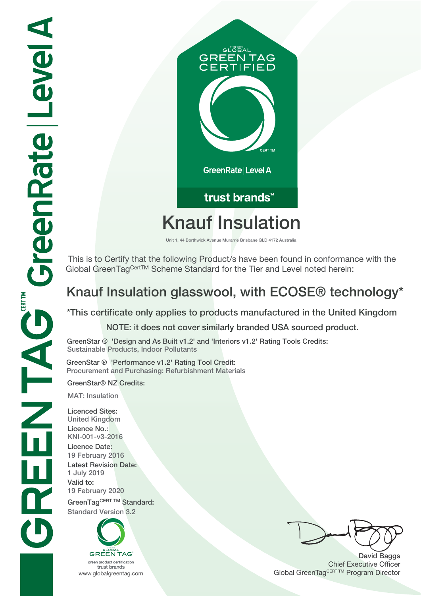

# **Knauf Insulation**

**Unit 1, 44 Borthwick Avenue Murarrie Brisbane QLD 4172 Australia**

 This is to Certify that the following Product/s have been found in conformance with the Global GreenTag<sup>CertTM</sup> Scheme Standard for the Tier and Level noted herein:

## **Knauf Insulation glasswool, with ECOSE® technology\***

**\*This certificate only applies to products manufactured in the United Kingdom NOTE: it does not cover similarly branded USA sourced product.**

**GreenStar ® 'Design and As Built v1.2' and 'Interiors v1.2' Rating Tools Credits: Sustainable Products, Indoor Pollutants**

**GreenStar ® 'Performance v1.2' Rating Tool Credit: Procurement and Purchasing: Refurbishment Materials**

**GreenStar® NZ Credits:**

**MAT: Insulation**

**Licenced Sites: United Kingdom Licence No.: KNI-001-v3-2016 Licence Date: 19 February 2016 Latest Revision Date: 1 July 2019 Valid to: 19 February 2020** GreenTagCERT TM Standard: **Standard Version 3.2**



trust brands

**David Baggs** Chief Executive Officer WWW.globalgreentag.com **Program Director** Global GreenTagCERT TM Program Director